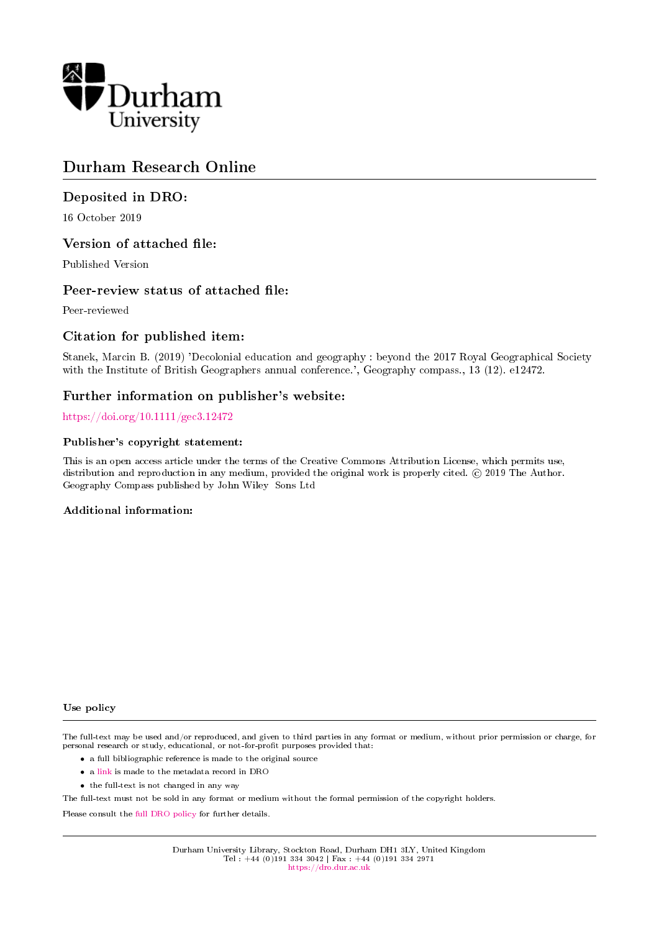

## Durham Research Online

## Deposited in DRO:

16 October 2019

## Version of attached file:

Published Version

## Peer-review status of attached file:

Peer-reviewed

## Citation for published item:

Stanek, Marcin B. (2019) 'Decolonial education and geography : beyond the 2017 Royal Geographical Society with the Institute of British Geographers annual conference.', Geography compass., 13 (12). e12472.

## Further information on publisher's website:

## <https://doi.org/10.1111/gec3.12472>

## Publisher's copyright statement:

This is an open access article under the terms of the Creative Commons Attribution License, which permits use, distribution and reproduction in any medium, provided the original work is properly cited. © 2019 The Author. Geography Compass published by John Wiley Sons Ltd

## Additional information:

#### Use policy

The full-text may be used and/or reproduced, and given to third parties in any format or medium, without prior permission or charge, for personal research or study, educational, or not-for-profit purposes provided that:

- a full bibliographic reference is made to the original source
- a [link](http://dro.dur.ac.uk/29332/) is made to the metadata record in DRO
- the full-text is not changed in any way

The full-text must not be sold in any format or medium without the formal permission of the copyright holders.

Please consult the [full DRO policy](https://dro.dur.ac.uk/policies/usepolicy.pdf) for further details.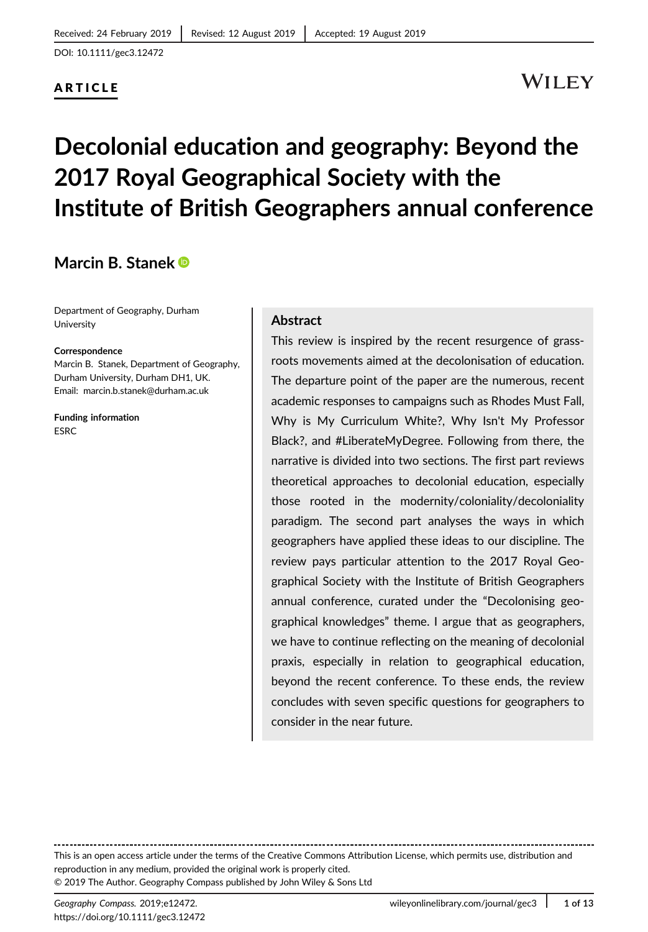## ARTICLE

# WILEY

# **Decolonial education and geography: Beyond the 2017 Royal Geographical Society with the Institute of British Geographers annual conference**

## **Marcin B. Stanek**

Department of Geography, Durham University

#### **Correspondence**

Marcin B. Stanek, Department of Geography, Durham University, Durham DH1, UK. Email: marcin.b.stanek@durham.ac.uk

**Funding information** ESRC

#### **Abstract**

This review is inspired by the recent resurgence of grassroots movements aimed at the decolonisation of education. The departure point of the paper are the numerous, recent academic responses to campaigns such as Rhodes Must Fall, Why is My Curriculum White?, Why Isn't My Professor Black?, and #LiberateMyDegree. Following from there, the narrative is divided into two sections. The first part reviews theoretical approaches to decolonial education, especially those rooted in the modernity/coloniality/decoloniality paradigm. The second part analyses the ways in which geographers have applied these ideas to our discipline. The review pays particular attention to the 2017 Royal Geographical Society with the Institute of British Geographers annual conference, curated under the "Decolonising geographical knowledges" theme. I argue that as geographers, we have to continue reflecting on the meaning of decolonial praxis, especially in relation to geographical education, beyond the recent conference. To these ends, the review concludes with seven specific questions for geographers to consider in the near future.

This is an open access article under the terms of the [Creative Commons Attribution](http://creativecommons.org/licenses/by/4.0/) License, which permits use, distribution and reproduction in any medium, provided the original work is properly cited. © 2019 The Author. Geography Compass published by John Wiley & Sons Ltd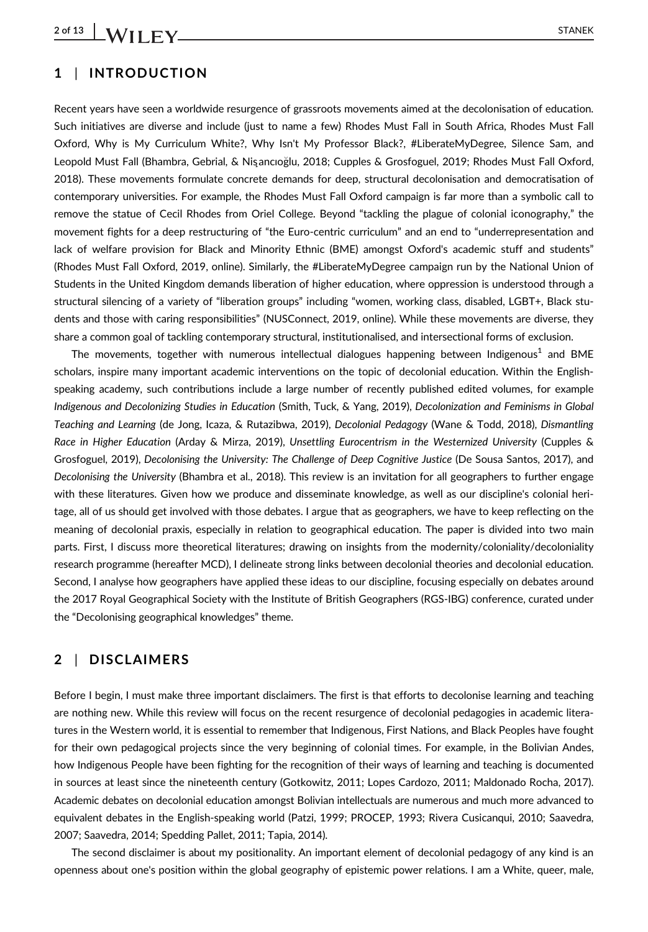## **1** | **INTRODUCTION**

Recent years have seen a worldwide resurgence of grassroots movements aimed at the decolonisation of education. Such initiatives are diverse and include (just to name a few) Rhodes Must Fall in South Africa, Rhodes Must Fall Oxford, Why is My Curriculum White?, Why Isn't My Professor Black?, #LiberateMyDegree, Silence Sam, and Leopold Must Fall (Bhambra, Gebrial, & Nişancıoğlu, 2018; Cupples & Grosfoguel, 2019; Rhodes Must Fall Oxford, 2018). These movements formulate concrete demands for deep, structural decolonisation and democratisation of contemporary universities. For example, the Rhodes Must Fall Oxford campaign is far more than a symbolic call to remove the statue of Cecil Rhodes from Oriel College. Beyond "tackling the plague of colonial iconography," the movement fights for a deep restructuring of "the Euro-centric curriculum" and an end to "underrepresentation and lack of welfare provision for Black and Minority Ethnic (BME) amongst Oxford's academic stuff and students" (Rhodes Must Fall Oxford, 2019, online). Similarly, the #LiberateMyDegree campaign run by the National Union of Students in the United Kingdom demands liberation of higher education, where oppression is understood through a structural silencing of a variety of "liberation groups" including "women, working class, disabled, LGBT+, Black students and those with caring responsibilities" (NUSConnect, 2019, online). While these movements are diverse, they share a common goal of tackling contemporary structural, institutionalised, and intersectional forms of exclusion.

The movements, together with numerous intellectual dialogues happening between Indigenous<sup>1</sup> and BME scholars, inspire many important academic interventions on the topic of decolonial education. Within the Englishspeaking academy, such contributions include a large number of recently published edited volumes, for example *Indigenous and Decolonizing Studies in Education* (Smith, Tuck, & Yang, 2019), *Decolonization and Feminisms in Global Teaching and Learning* (de Jong, Icaza, & Rutazibwa, 2019), *Decolonial Pedagogy* (Wane & Todd, 2018), *Dismantling Race in Higher Education* (Arday & Mirza, 2019), *Unsettling Eurocentrism in the Westernized University* (Cupples & Grosfoguel, 2019), *Decolonising the University: The Challenge of Deep Cognitive Justice* (De Sousa Santos, 2017), and *Decolonising the University* (Bhambra et al., 2018). This review is an invitation for all geographers to further engage with these literatures. Given how we produce and disseminate knowledge, as well as our discipline's colonial heritage, all of us should get involved with those debates. I argue that as geographers, we have to keep reflecting on the meaning of decolonial praxis, especially in relation to geographical education. The paper is divided into two main parts. First, I discuss more theoretical literatures; drawing on insights from the modernity/coloniality/decoloniality research programme (hereafter MCD), I delineate strong links between decolonial theories and decolonial education. Second, I analyse how geographers have applied these ideas to our discipline, focusing especially on debates around the 2017 Royal Geographical Society with the Institute of British Geographers (RGS-IBG) conference, curated under the "Decolonising geographical knowledges" theme.

#### **2** | **DISCLAIMERS**

Before I begin, I must make three important disclaimers. The first is that efforts to decolonise learning and teaching are nothing new. While this review will focus on the recent resurgence of decolonial pedagogies in academic literatures in the Western world, it is essential to remember that Indigenous, First Nations, and Black Peoples have fought for their own pedagogical projects since the very beginning of colonial times. For example, in the Bolivian Andes, how Indigenous People have been fighting for the recognition of their ways of learning and teaching is documented in sources at least since the nineteenth century (Gotkowitz, 2011; Lopes Cardozo, 2011; Maldonado Rocha, 2017). Academic debates on decolonial education amongst Bolivian intellectuals are numerous and much more advanced to equivalent debates in the English-speaking world (Patzi, 1999; PROCEP, 1993; Rivera Cusicanqui, 2010; Saavedra, 2007; Saavedra, 2014; Spedding Pallet, 2011; Tapia, 2014).

The second disclaimer is about my positionality. An important element of decolonial pedagogy of any kind is an openness about one's position within the global geography of epistemic power relations. I am a White, queer, male,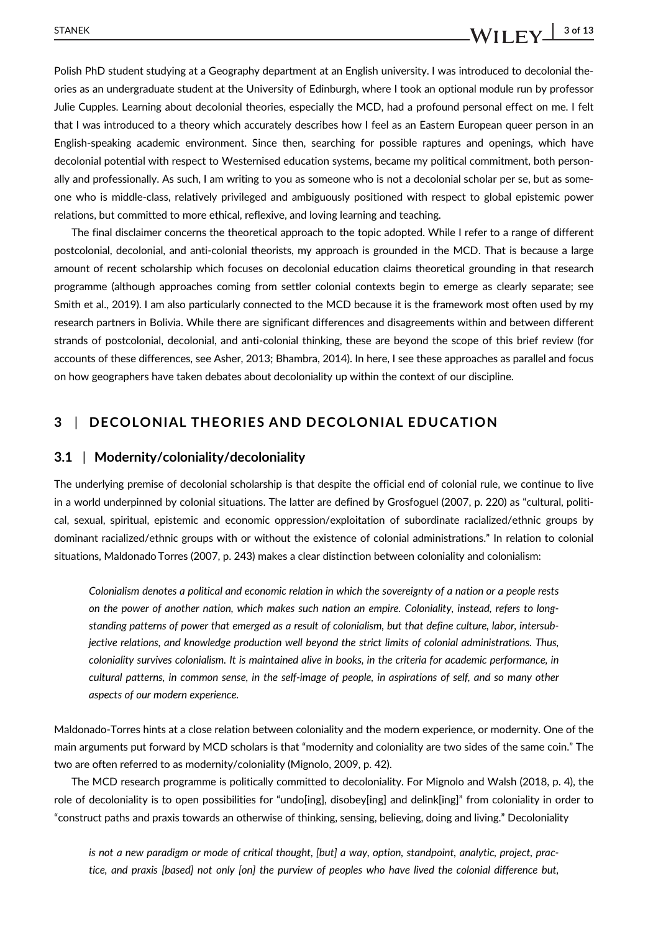Polish PhD student studying at a Geography department at an English university. I was introduced to decolonial theories as an undergraduate student at the University of Edinburgh, where I took an optional module run by professor Julie Cupples. Learning about decolonial theories, especially the MCD, had a profound personal effect on me. I felt that I was introduced to a theory which accurately describes how I feel as an Eastern European queer person in an English-speaking academic environment. Since then, searching for possible raptures and openings, which have decolonial potential with respect to Westernised education systems, became my political commitment, both personally and professionally. As such, I am writing to you as someone who is not a decolonial scholar per se, but as someone who is middle-class, relatively privileged and ambiguously positioned with respect to global epistemic power relations, but committed to more ethical, reflexive, and loving learning and teaching.

The final disclaimer concerns the theoretical approach to the topic adopted. While I refer to a range of different postcolonial, decolonial, and anti-colonial theorists, my approach is grounded in the MCD. That is because a large amount of recent scholarship which focuses on decolonial education claims theoretical grounding in that research programme (although approaches coming from settler colonial contexts begin to emerge as clearly separate; see Smith et al., 2019). I am also particularly connected to the MCD because it is the framework most often used by my research partners in Bolivia. While there are significant differences and disagreements within and between different strands of postcolonial, decolonial, and anti-colonial thinking, these are beyond the scope of this brief review (for accounts of these differences, see Asher, 2013; Bhambra, 2014). In here, I see these approaches as parallel and focus on how geographers have taken debates about decoloniality up within the context of our discipline.

## **3** | **DECOLONIAL THEORIES AND DECOLONIAL EDUCATION**

#### **3.1** | **Modernity/coloniality/decoloniality**

The underlying premise of decolonial scholarship is that despite the official end of colonial rule, we continue to live in a world underpinned by colonial situations. The latter are defined by Grosfoguel (2007, p. 220) as "cultural, political, sexual, spiritual, epistemic and economic oppression/exploitation of subordinate racialized/ethnic groups by dominant racialized/ethnic groups with or without the existence of colonial administrations." In relation to colonial situations, Maldonado Torres (2007, p. 243) makes a clear distinction between coloniality and colonialism:

*Colonialism denotes a political and economic relation in which the sovereignty of a nation or a people rests on the power of another nation, which makes such nation an empire. Coloniality, instead, refers to longstanding patterns of power that emerged as a result of colonialism, but that define culture, labor, intersubjective relations, and knowledge production well beyond the strict limits of colonial administrations. Thus, coloniality survives colonialism. It is maintained alive in books, in the criteria for academic performance, in cultural patterns, in common sense, in the self-image of people, in aspirations of self, and so many other aspects of our modern experience.*

Maldonado-Torres hints at a close relation between coloniality and the modern experience, or modernity. One of the main arguments put forward by MCD scholars is that "modernity and coloniality are two sides of the same coin." The two are often referred to as modernity/coloniality (Mignolo, 2009, p. 42).

The MCD research programme is politically committed to decoloniality. For Mignolo and Walsh (2018, p. 4), the role of decoloniality is to open possibilities for "undo[ing], disobey[ing] and delink[ing]" from coloniality in order to "construct paths and praxis towards an otherwise of thinking, sensing, believing, doing and living." Decoloniality

*is not a new paradigm or mode of critical thought, [but] a way, option, standpoint, analytic, project, practice, and praxis [based] not only [on] the purview of peoples who have lived the colonial difference but,*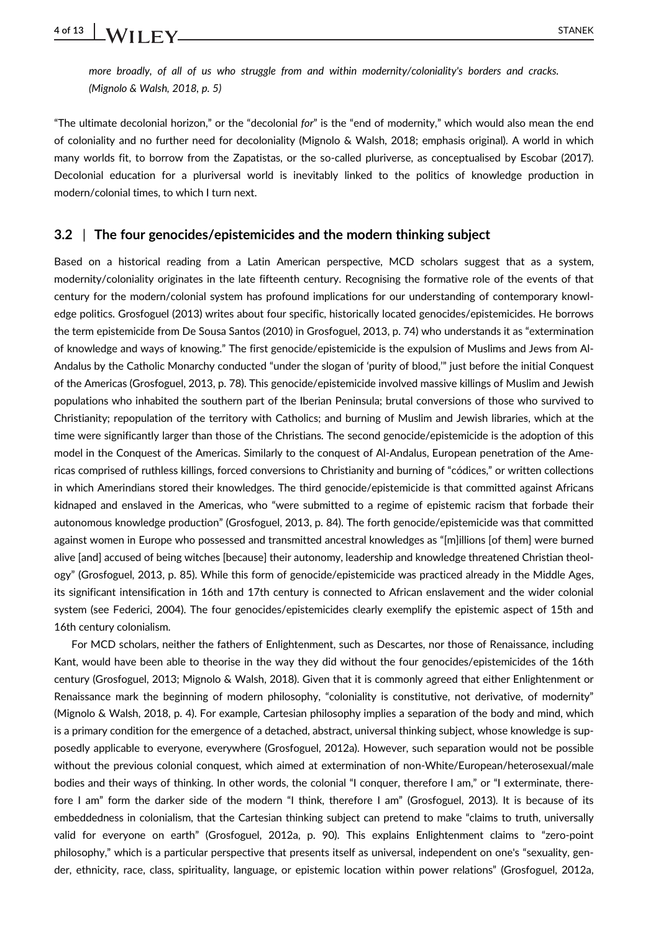*more broadly, of all of us who struggle from and within modernity/coloniality's borders and cracks. (Mignolo & Walsh, 2018, p. 5)*

"The ultimate decolonial horizon," or the "decolonial *for*" is the "end of modernity," which would also mean the end of coloniality and no further need for decoloniality (Mignolo & Walsh, 2018; emphasis original). A world in which many worlds fit, to borrow from the Zapatistas, or the so-called pluriverse, as conceptualised by Escobar (2017). Decolonial education for a pluriversal world is inevitably linked to the politics of knowledge production in modern/colonial times, to which I turn next.

#### **3.2** | **The four genocides/epistemicides and the modern thinking subject**

Based on a historical reading from a Latin American perspective, MCD scholars suggest that as a system, modernity/coloniality originates in the late fifteenth century. Recognising the formative role of the events of that century for the modern/colonial system has profound implications for our understanding of contemporary knowledge politics. Grosfoguel (2013) writes about four specific, historically located genocides/epistemicides. He borrows the term epistemicide from De Sousa Santos (2010) in Grosfoguel, 2013, p. 74) who understands it as "extermination of knowledge and ways of knowing." The first genocide/epistemicide is the expulsion of Muslims and Jews from Al-Andalus by the Catholic Monarchy conducted "under the slogan of 'purity of blood,'" just before the initial Conquest of the Americas (Grosfoguel, 2013, p. 78). This genocide/epistemicide involved massive killings of Muslim and Jewish populations who inhabited the southern part of the Iberian Peninsula; brutal conversions of those who survived to Christianity; repopulation of the territory with Catholics; and burning of Muslim and Jewish libraries, which at the time were significantly larger than those of the Christians. The second genocide/epistemicide is the adoption of this model in the Conquest of the Americas. Similarly to the conquest of Al-Andalus, European penetration of the Americas comprised of ruthless killings, forced conversions to Christianity and burning of "códices," or written collections in which Amerindians stored their knowledges. The third genocide/epistemicide is that committed against Africans kidnaped and enslaved in the Americas, who "were submitted to a regime of epistemic racism that forbade their autonomous knowledge production" (Grosfoguel, 2013, p. 84). The forth genocide/epistemicide was that committed against women in Europe who possessed and transmitted ancestral knowledges as "[m]illions [of them] were burned alive [and] accused of being witches [because] their autonomy, leadership and knowledge threatened Christian theology" (Grosfoguel, 2013, p. 85). While this form of genocide/epistemicide was practiced already in the Middle Ages, its significant intensification in 16th and 17th century is connected to African enslavement and the wider colonial system (see Federici, 2004). The four genocides/epistemicides clearly exemplify the epistemic aspect of 15th and 16th century colonialism.

For MCD scholars, neither the fathers of Enlightenment, such as Descartes, nor those of Renaissance, including Kant, would have been able to theorise in the way they did without the four genocides/epistemicides of the 16th century (Grosfoguel, 2013; Mignolo & Walsh, 2018). Given that it is commonly agreed that either Enlightenment or Renaissance mark the beginning of modern philosophy, "coloniality is constitutive, not derivative, of modernity" (Mignolo & Walsh, 2018, p. 4). For example, Cartesian philosophy implies a separation of the body and mind, which is a primary condition for the emergence of a detached, abstract, universal thinking subject, whose knowledge is supposedly applicable to everyone, everywhere (Grosfoguel, 2012a). However, such separation would not be possible without the previous colonial conquest, which aimed at extermination of non-White/European/heterosexual/male bodies and their ways of thinking. In other words, the colonial "I conquer, therefore I am," or "I exterminate, therefore I am" form the darker side of the modern "I think, therefore I am" (Grosfoguel, 2013). It is because of its embeddedness in colonialism, that the Cartesian thinking subject can pretend to make "claims to truth, universally valid for everyone on earth" (Grosfoguel, 2012a, p. 90). This explains Enlightenment claims to "zero-point philosophy," which is a particular perspective that presents itself as universal, independent on one's "sexuality, gender, ethnicity, race, class, spirituality, language, or epistemic location within power relations" (Grosfoguel, 2012a,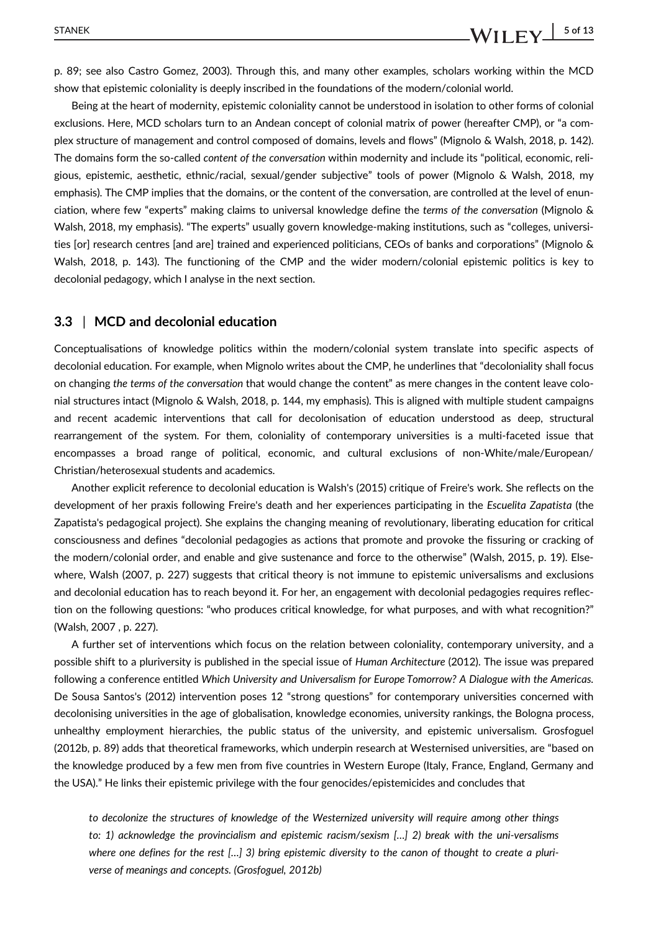p. 89; see also Castro Gomez, 2003). Through this, and many other examples, scholars working within the MCD show that epistemic coloniality is deeply inscribed in the foundations of the modern/colonial world.

Being at the heart of modernity, epistemic coloniality cannot be understood in isolation to other forms of colonial exclusions. Here, MCD scholars turn to an Andean concept of colonial matrix of power (hereafter CMP), or "a complex structure of management and control composed of domains, levels and flows" (Mignolo & Walsh, 2018, p. 142). The domains form the so-called *content of the conversation* within modernity and include its "political, economic, religious, epistemic, aesthetic, ethnic/racial, sexual/gender subjective" tools of power (Mignolo & Walsh, 2018, my emphasis). The CMP implies that the domains, or the content of the conversation, are controlled at the level of enunciation, where few "experts" making claims to universal knowledge define the *terms of the conversation* (Mignolo & Walsh, 2018, my emphasis). "The experts" usually govern knowledge-making institutions, such as "colleges, universities [or] research centres [and are] trained and experienced politicians, CEOs of banks and corporations" (Mignolo & Walsh, 2018, p. 143). The functioning of the CMP and the wider modern/colonial epistemic politics is key to decolonial pedagogy, which I analyse in the next section.

#### **3.3** | **MCD and decolonial education**

Conceptualisations of knowledge politics within the modern/colonial system translate into specific aspects of decolonial education. For example, when Mignolo writes about the CMP, he underlines that "decoloniality shall focus on changing *the terms of the conversation* that would change the content" as mere changes in the content leave colonial structures intact (Mignolo & Walsh, 2018, p. 144, my emphasis). This is aligned with multiple student campaigns and recent academic interventions that call for decolonisation of education understood as deep, structural rearrangement of the system. For them, coloniality of contemporary universities is a multi-faceted issue that encompasses a broad range of political, economic, and cultural exclusions of non-White/male/European/ Christian/heterosexual students and academics.

Another explicit reference to decolonial education is Walsh's (2015) critique of Freire's work. She reflects on the development of her praxis following Freire's death and her experiences participating in the *Escuelita Zapatista* (the Zapatista's pedagogical project). She explains the changing meaning of revolutionary, liberating education for critical consciousness and defines "decolonial pedagogies as actions that promote and provoke the fissuring or cracking of the modern/colonial order, and enable and give sustenance and force to the otherwise" (Walsh, 2015, p. 19). Elsewhere, Walsh (2007, p. 227) suggests that critical theory is not immune to epistemic universalisms and exclusions and decolonial education has to reach beyond it. For her, an engagement with decolonial pedagogies requires reflection on the following questions: "who produces critical knowledge, for what purposes, and with what recognition?" (Walsh, 2007 , p. 227).

A further set of interventions which focus on the relation between coloniality, contemporary university, and a possible shift to a pluriversity is published in the special issue of *Human Architecture* (2012). The issue was prepared following a conference entitled *Which University and Universalism for Europe Tomorrow? A Dialogue with the Americas.* De Sousa Santos's (2012) intervention poses 12 "strong questions" for contemporary universities concerned with decolonising universities in the age of globalisation, knowledge economies, university rankings, the Bologna process, unhealthy employment hierarchies, the public status of the university, and epistemic universalism. Grosfoguel (2012b, p. 89) adds that theoretical frameworks, which underpin research at Westernised universities, are "based on the knowledge produced by a few men from five countries in Western Europe (Italy, France, England, Germany and the USA)." He links their epistemic privilege with the four genocides/epistemicides and concludes that

*to decolonize the structures of knowledge of the Westernized university will require among other things to: 1) acknowledge the provincialism and epistemic racism/sexism […] 2) break with the uni-versalisms where one defines for the rest […] 3) bring epistemic diversity to the canon of thought to create a pluriverse of meanings and concepts. (Grosfoguel, 2012b)*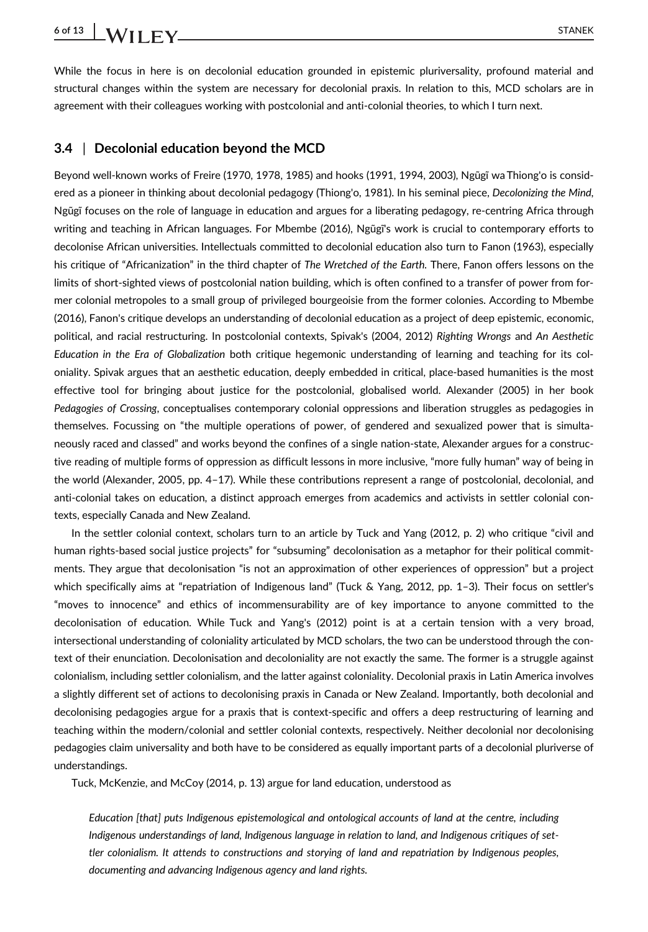While the focus in here is on decolonial education grounded in epistemic pluriversality, profound material and structural changes within the system are necessary for decolonial praxis. In relation to this, MCD scholars are in agreement with their colleagues working with postcolonial and anti-colonial theories, to which I turn next.

#### **3.4** | **Decolonial education beyond the MCD**

Beyond well-known works of Freire (1970, 1978, 1985) and hooks (1991, 1994, 2003), Ngũgĩ wa Thiong'o is considered as a pioneer in thinking about decolonial pedagogy (Thiong'o, 1981). In his seminal piece, *Decolonizing the Mind*, Ngũgĩ focuses on the role of language in education and argues for a liberating pedagogy, re-centring Africa through writing and teaching in African languages. For Mbembe (2016), Ngũgĩ's work is crucial to contemporary efforts to decolonise African universities. Intellectuals committed to decolonial education also turn to Fanon (1963), especially his critique of "Africanization" in the third chapter of *The Wretched of the Earth.* There, Fanon offers lessons on the limits of short-sighted views of postcolonial nation building, which is often confined to a transfer of power from former colonial metropoles to a small group of privileged bourgeoisie from the former colonies. According to Mbembe (2016), Fanon's critique develops an understanding of decolonial education as a project of deep epistemic, economic, political, and racial restructuring. In postcolonial contexts, Spivak's (2004, 2012) *Righting Wrongs* and *An Aesthetic Education in the Era of Globalization* both critique hegemonic understanding of learning and teaching for its coloniality. Spivak argues that an aesthetic education, deeply embedded in critical, place-based humanities is the most effective tool for bringing about justice for the postcolonial, globalised world. Alexander (2005) in her book *Pedagogies of Crossing*, conceptualises contemporary colonial oppressions and liberation struggles as pedagogies in themselves. Focussing on "the multiple operations of power, of gendered and sexualized power that is simultaneously raced and classed" and works beyond the confines of a single nation-state, Alexander argues for a constructive reading of multiple forms of oppression as difficult lessons in more inclusive, "more fully human" way of being in the world (Alexander, 2005, pp. 4–17). While these contributions represent a range of postcolonial, decolonial, and anti-colonial takes on education, a distinct approach emerges from academics and activists in settler colonial contexts, especially Canada and New Zealand.

In the settler colonial context, scholars turn to an article by Tuck and Yang (2012, p. 2) who critique "civil and human rights-based social justice projects" for "subsuming" decolonisation as a metaphor for their political commitments. They argue that decolonisation "is not an approximation of other experiences of oppression" but a project which specifically aims at "repatriation of Indigenous land" (Tuck & Yang, 2012, pp. 1–3). Their focus on settler's "moves to innocence" and ethics of incommensurability are of key importance to anyone committed to the decolonisation of education. While Tuck and Yang's (2012) point is at a certain tension with a very broad, intersectional understanding of coloniality articulated by MCD scholars, the two can be understood through the context of their enunciation. Decolonisation and decoloniality are not exactly the same. The former is a struggle against colonialism, including settler colonialism, and the latter against coloniality. Decolonial praxis in Latin America involves a slightly different set of actions to decolonising praxis in Canada or New Zealand. Importantly, both decolonial and decolonising pedagogies argue for a praxis that is context-specific and offers a deep restructuring of learning and teaching within the modern/colonial and settler colonial contexts, respectively. Neither decolonial nor decolonising pedagogies claim universality and both have to be considered as equally important parts of a decolonial pluriverse of understandings.

Tuck, McKenzie, and McCoy (2014, p. 13) argue for land education, understood as

*Education [that] puts Indigenous epistemological and ontological accounts of land at the centre, including Indigenous understandings of land, Indigenous language in relation to land, and Indigenous critiques of settler colonialism. It attends to constructions and storying of land and repatriation by Indigenous peoples, documenting and advancing Indigenous agency and land rights.*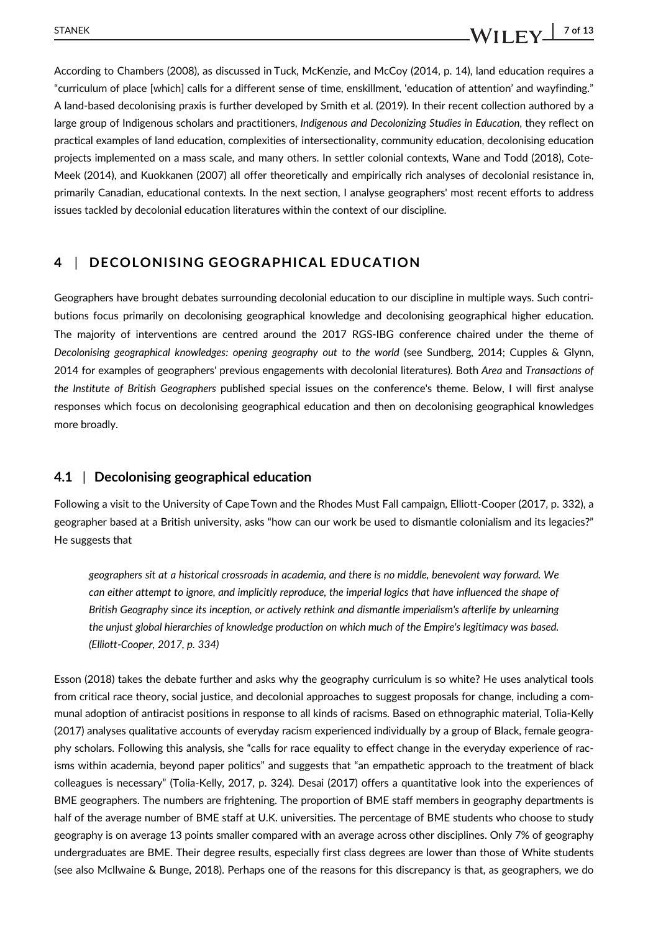According to Chambers (2008), as discussed in Tuck, McKenzie, and McCoy (2014, p. 14), land education requires a "curriculum of place [which] calls for a different sense of time, enskillment, 'education of attention' and wayfinding." A land-based decolonising praxis is further developed by Smith et al. (2019). In their recent collection authored by a large group of Indigenous scholars and practitioners, *Indigenous and Decolonizing Studies in Education*, they reflect on practical examples of land education, complexities of intersectionality, community education, decolonising education projects implemented on a mass scale, and many others. In settler colonial contexts, Wane and Todd (2018), Cote-Meek (2014), and Kuokkanen (2007) all offer theoretically and empirically rich analyses of decolonial resistance in, primarily Canadian, educational contexts. In the next section, I analyse geographers' most recent efforts to address issues tackled by decolonial education literatures within the context of our discipline.

## **4** | **DECOLONISING GEOGRAPHICAL EDUCATION**

Geographers have brought debates surrounding decolonial education to our discipline in multiple ways. Such contributions focus primarily on decolonising geographical knowledge and decolonising geographical higher education. The majority of interventions are centred around the 2017 RGS-IBG conference chaired under the theme of *Decolonising geographical knowledges: opening geography out to the world* (see Sundberg, 2014; Cupples & Glynn, 2014 for examples of geographers' previous engagements with decolonial literatures). Both *Area* and *Transactions of the Institute of British Geographers* published special issues on the conference's theme. Below, I will first analyse responses which focus on decolonising geographical education and then on decolonising geographical knowledges more broadly.

#### **4.1** | **Decolonising geographical education**

Following a visit to the University of Cape Town and the Rhodes Must Fall campaign, Elliott-Cooper (2017, p. 332), a geographer based at a British university, asks "how can our work be used to dismantle colonialism and its legacies?" He suggests that

*geographers sit at a historical crossroads in academia, and there is no middle, benevolent way forward. We can either attempt to ignore, and implicitly reproduce, the imperial logics that have influenced the shape of British Geography since its inception, or actively rethink and dismantle imperialism's afterlife by unlearning the unjust global hierarchies of knowledge production on which much of the Empire's legitimacy was based. (Elliott-Cooper, 2017, p. 334)*

Esson (2018) takes the debate further and asks why the geography curriculum is so white? He uses analytical tools from critical race theory, social justice, and decolonial approaches to suggest proposals for change, including a communal adoption of antiracist positions in response to all kinds of racisms. Based on ethnographic material, Tolia-Kelly (2017) analyses qualitative accounts of everyday racism experienced individually by a group of Black, female geography scholars. Following this analysis, she "calls for race equality to effect change in the everyday experience of racisms within academia, beyond paper politics" and suggests that "an empathetic approach to the treatment of black colleagues is necessary" (Tolia-Kelly, 2017, p. 324). Desai (2017) offers a quantitative look into the experiences of BME geographers. The numbers are frightening. The proportion of BME staff members in geography departments is half of the average number of BME staff at U.K. universities. The percentage of BME students who choose to study geography is on average 13 points smaller compared with an average across other disciplines. Only 7% of geography undergraduates are BME. Their degree results, especially first class degrees are lower than those of White students (see also McIlwaine & Bunge, 2018). Perhaps one of the reasons for this discrepancy is that, as geographers, we do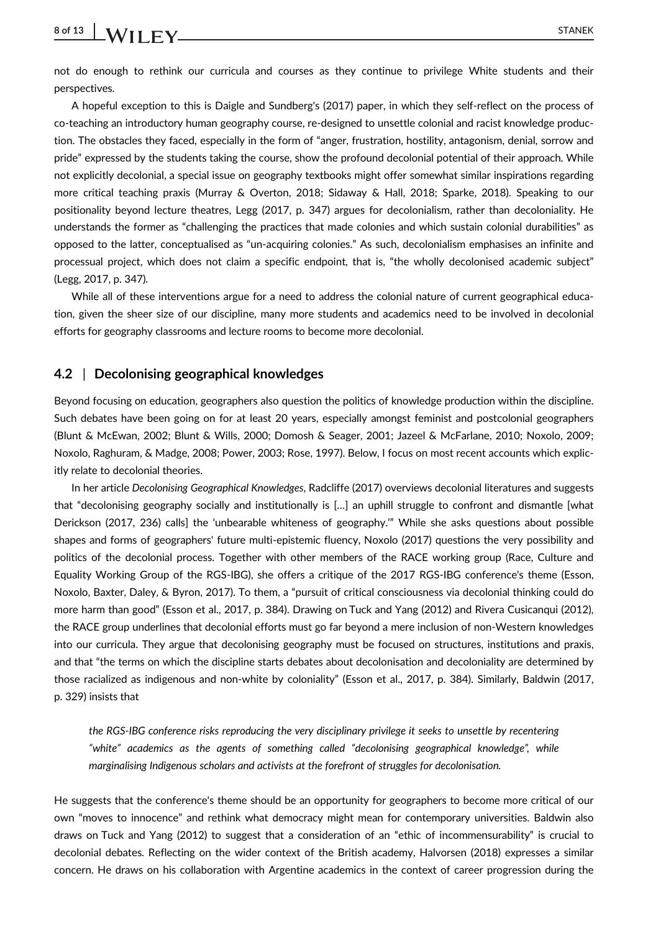not do enough to rethink our curricula and courses as they continue to privilege White students and their perspectives.

A hopeful exception to this is Daigle and Sundberg's (2017) paper, in which they self-reflect on the process of co-teaching an introductory human geography course, re-designed to unsettle colonial and racist knowledge production. The obstacles they faced, especially in the form of "anger, frustration, hostility, antagonism, denial, sorrow and pride" expressed by the students taking the course, show the profound decolonial potential of their approach. While not explicitly decolonial, a special issue on geography textbooks might offer somewhat similar inspirations regarding more critical teaching praxis (Murray & Overton, 2018; Sidaway & Hall, 2018; Sparke, 2018). Speaking to our positionality beyond lecture theatres, Legg (2017, p. 347) argues for decolonialism, rather than decoloniality. He understands the former as "challenging the practices that made colonies and which sustain colonial durabilities" as opposed to the latter, conceptualised as "un-acquiring colonies." As such, decolonialism emphasises an infinite and processual project, which does not claim a specific endpoint, that is, "the wholly decolonised academic subject" (Legg, 2017, p. 347).

While all of these interventions argue for a need to address the colonial nature of current geographical education, given the sheer size of our discipline, many more students and academics need to be involved in decolonial efforts for geography classrooms and lecture rooms to become more decolonial.

#### **4.2** | **Decolonising geographical knowledges**

Beyond focusing on education, geographers also question the politics of knowledge production within the discipline. Such debates have been going on for at least 20 years, especially amongst feminist and postcolonial geographers (Blunt & McEwan, 2002; Blunt & Wills, 2000; Domosh & Seager, 2001; Jazeel & McFarlane, 2010; Noxolo, 2009; Noxolo, Raghuram, & Madge, 2008; Power, 2003; Rose, 1997). Below, I focus on most recent accounts which explicitly relate to decolonial theories.

In her article *Decolonising Geographical Knowledges*, Radcliffe (2017) overviews decolonial literatures and suggests that "decolonising geography socially and institutionally is […] an uphill struggle to confront and dismantle [what Derickson (2017, 236) calls] the 'unbearable whiteness of geography.'" While she asks questions about possible shapes and forms of geographers' future multi-epistemic fluency, Noxolo (2017) questions the very possibility and politics of the decolonial process. Together with other members of the RACE working group (Race, Culture and Equality Working Group of the RGS-IBG), she offers a critique of the 2017 RGS-IBG conference's theme (Esson, Noxolo, Baxter, Daley, & Byron, 2017). To them, a "pursuit of critical consciousness via decolonial thinking could do more harm than good" (Esson et al., 2017, p. 384). Drawing on Tuck and Yang (2012) and Rivera Cusicanqui (2012), the RACE group underlines that decolonial efforts must go far beyond a mere inclusion of non-Western knowledges into our curricula. They argue that decolonising geography must be focused on structures, institutions and praxis, and that "the terms on which the discipline starts debates about decolonisation and decoloniality are determined by those racialized as indigenous and non-white by coloniality" (Esson et al., 2017, p. 384). Similarly, Baldwin (2017, p. 329) insists that

*the RGS-IBG conference risks reproducing the very disciplinary privilege it seeks to unsettle by recentering "white" academics as the agents of something called "decolonising geographical knowledge", while marginalising Indigenous scholars and activists at the forefront of struggles for decolonisation.*

He suggests that the conference's theme should be an opportunity for geographers to become more critical of our own "moves to innocence" and rethink what democracy might mean for contemporary universities. Baldwin also draws on Tuck and Yang (2012) to suggest that a consideration of an "ethic of incommensurability" is crucial to decolonial debates. Reflecting on the wider context of the British academy, Halvorsen (2018) expresses a similar concern. He draws on his collaboration with Argentine academics in the context of career progression during the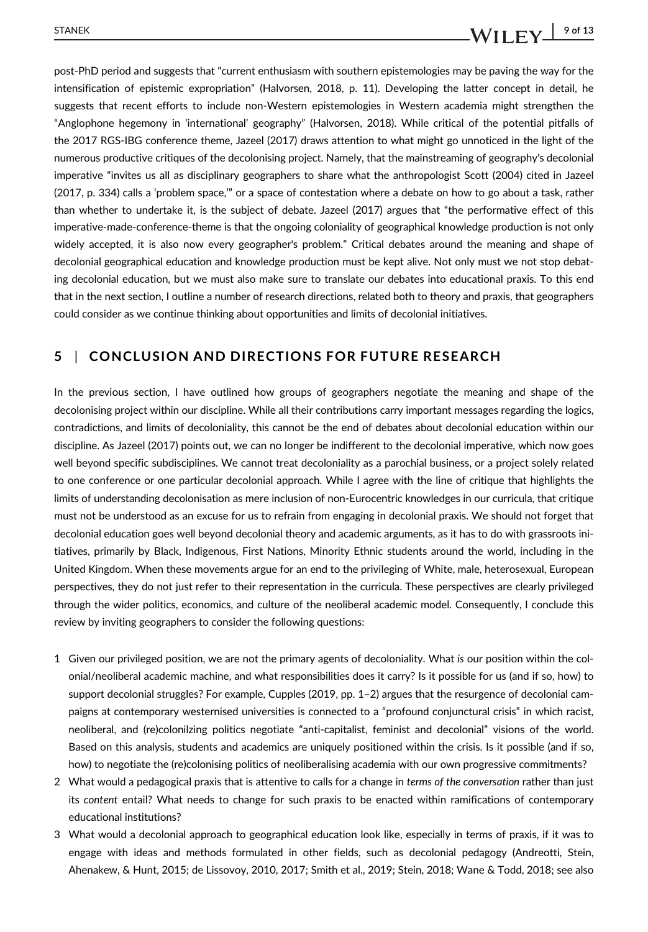post-PhD period and suggests that "current enthusiasm with southern epistemologies may be paving the way for the intensification of epistemic expropriation" (Halvorsen, 2018, p. 11). Developing the latter concept in detail, he suggests that recent efforts to include non-Western epistemologies in Western academia might strengthen the "Anglophone hegemony in 'international' geography" (Halvorsen, 2018). While critical of the potential pitfalls of the 2017 RGS-IBG conference theme, Jazeel (2017) draws attention to what might go unnoticed in the light of the numerous productive critiques of the decolonising project. Namely, that the mainstreaming of geography's decolonial imperative "invites us all as disciplinary geographers to share what the anthropologist Scott (2004) cited in Jazeel (2017, p. 334) calls a 'problem space,'" or a space of contestation where a debate on how to go about a task, rather than whether to undertake it, is the subject of debate. Jazeel (2017) argues that "the performative effect of this imperative-made-conference-theme is that the ongoing coloniality of geographical knowledge production is not only widely accepted, it is also now every geographer's problem." Critical debates around the meaning and shape of decolonial geographical education and knowledge production must be kept alive. Not only must we not stop debating decolonial education, but we must also make sure to translate our debates into educational praxis. To this end that in the next section, I outline a number of research directions, related both to theory and praxis, that geographers could consider as we continue thinking about opportunities and limits of decolonial initiatives.

## **5** | **CONCLUSION AND DIRECTIONS FOR FUTURE RESEARCH**

In the previous section, I have outlined how groups of geographers negotiate the meaning and shape of the decolonising project within our discipline. While all their contributions carry important messages regarding the logics, contradictions, and limits of decoloniality, this cannot be the end of debates about decolonial education within our discipline. As Jazeel (2017) points out, we can no longer be indifferent to the decolonial imperative, which now goes well beyond specific subdisciplines. We cannot treat decoloniality as a parochial business, or a project solely related to one conference or one particular decolonial approach. While I agree with the line of critique that highlights the limits of understanding decolonisation as mere inclusion of non-Eurocentric knowledges in our curricula, that critique must not be understood as an excuse for us to refrain from engaging in decolonial praxis. We should not forget that decolonial education goes well beyond decolonial theory and academic arguments, as it has to do with grassroots initiatives, primarily by Black, Indigenous, First Nations, Minority Ethnic students around the world, including in the United Kingdom. When these movements argue for an end to the privileging of White, male, heterosexual, European perspectives, they do not just refer to their representation in the curricula. These perspectives are clearly privileged through the wider politics, economics, and culture of the neoliberal academic model. Consequently, I conclude this review by inviting geographers to consider the following questions:

- 1 Given our privileged position, we are not the primary agents of decoloniality. What *is* our position within the colonial/neoliberal academic machine, and what responsibilities does it carry? Is it possible for us (and if so, how) to support decolonial struggles? For example, Cupples (2019, pp. 1–2) argues that the resurgence of decolonial campaigns at contemporary westernised universities is connected to a "profound conjunctural crisis" in which racist, neoliberal, and (re)colonilzing politics negotiate "anti-capitalist, feminist and decolonial" visions of the world. Based on this analysis, students and academics are uniquely positioned within the crisis. Is it possible (and if so, how) to negotiate the (re)colonising politics of neoliberalising academia with our own progressive commitments?
- 2 What would a pedagogical praxis that is attentive to calls for a change in *terms of the conversation* rather than just its *content* entail? What needs to change for such praxis to be enacted within ramifications of contemporary educational institutions?
- 3 What would a decolonial approach to geographical education look like, especially in terms of praxis, if it was to engage with ideas and methods formulated in other fields, such as decolonial pedagogy (Andreotti, Stein, Ahenakew, & Hunt, 2015; de Lissovoy, 2010, 2017; Smith et al., 2019; Stein, 2018; Wane & Todd, 2018; see also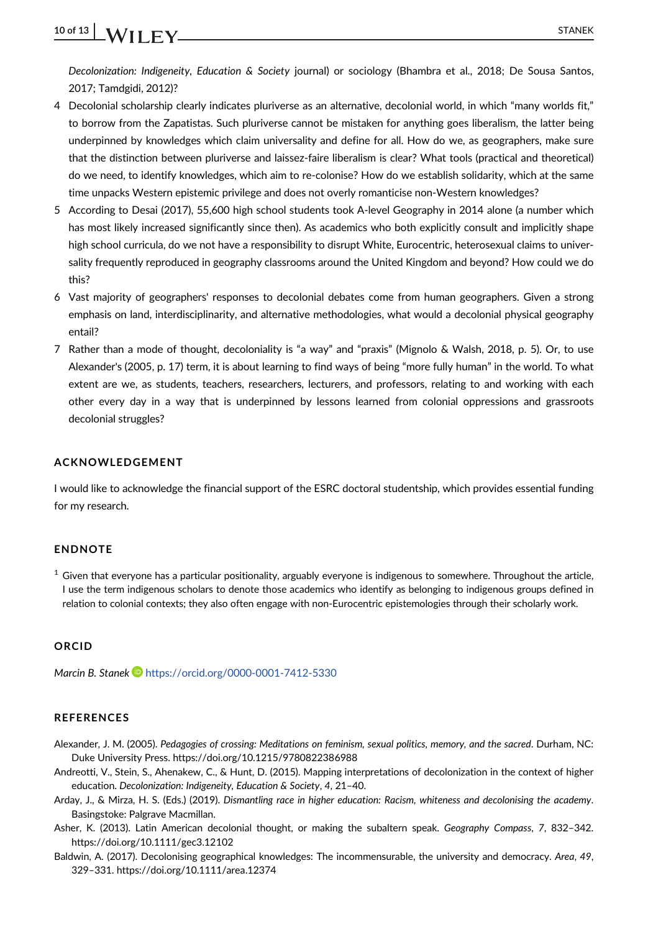10 of 13 **WII FV** STANEK

*Decolonization: Indigeneity, Education & Society* journal) or sociology (Bhambra et al., 2018; De Sousa Santos, 2017; Tamdgidi, 2012)?

- 4 Decolonial scholarship clearly indicates pluriverse as an alternative, decolonial world, in which "many worlds fit," to borrow from the Zapatistas. Such pluriverse cannot be mistaken for anything goes liberalism, the latter being underpinned by knowledges which claim universality and define for all. How do we, as geographers, make sure that the distinction between pluriverse and laissez-faire liberalism is clear? What tools (practical and theoretical) do we need, to identify knowledges, which aim to re-colonise? How do we establish solidarity, which at the same time unpacks Western epistemic privilege and does not overly romanticise non-Western knowledges?
- 5 According to Desai (2017), 55,600 high school students took A-level Geography in 2014 alone (a number which has most likely increased significantly since then). As academics who both explicitly consult and implicitly shape high school curricula, do we not have a responsibility to disrupt White, Eurocentric, heterosexual claims to universality frequently reproduced in geography classrooms around the United Kingdom and beyond? How could we do this?
- 6 Vast majority of geographers' responses to decolonial debates come from human geographers. Given a strong emphasis on land, interdisciplinarity, and alternative methodologies, what would a decolonial physical geography entail?
- 7 Rather than a mode of thought, decoloniality is "a way" and "praxis" (Mignolo & Walsh, 2018, p. 5). Or, to use Alexander's (2005, p. 17) term, it is about learning to find ways of being "more fully human" in the world. To what extent are we, as students, teachers, researchers, lecturers, and professors, relating to and working with each other every day in a way that is underpinned by lessons learned from colonial oppressions and grassroots decolonial struggles?

#### **ACKNOWLEDGEMENT**

I would like to acknowledge the financial support of the ESRC doctoral studentship, which provides essential funding for my research.

#### **ENDNOTE**

 $1$  Given that everyone has a particular positionality, arguably everyone is indigenous to somewhere. Throughout the article, I use the term indigenous scholars to denote those academics who identify as belonging to indigenous groups defined in relation to colonial contexts; they also often engage with non-Eurocentric epistemologies through their scholarly work.

#### **ORCID**

*Marcin B. Stanek* **<https://orcid.org/0000-0001-7412-5330>** 

#### **REFERENCES**

- Alexander, J. M. (2005). *Pedagogies of crossing: Meditations on feminism, sexual politics, memory, and the sacred*. Durham, NC: Duke University Press.<https://doi.org/10.1215/9780822386988>
- Andreotti, V., Stein, S., Ahenakew, C., & Hunt, D. (2015). Mapping interpretations of decolonization in the context of higher education. *Decolonization: Indigeneity, Education & Society*, *4*, 21–40.
- Arday, J., & Mirza, H. S. (Eds.) (2019). *Dismantling race in higher education: Racism, whiteness and decolonising the academy*. Basingstoke: Palgrave Macmillan.
- Asher, K. (2013). Latin American decolonial thought, or making the subaltern speak. *Geography Compass*, *7*, 832–342. <https://doi.org/10.1111/gec3.12102>
- Baldwin, A. (2017). Decolonising geographical knowledges: The incommensurable, the university and democracy. *Area*, *49*, 329–331.<https://doi.org/10.1111/area.12374>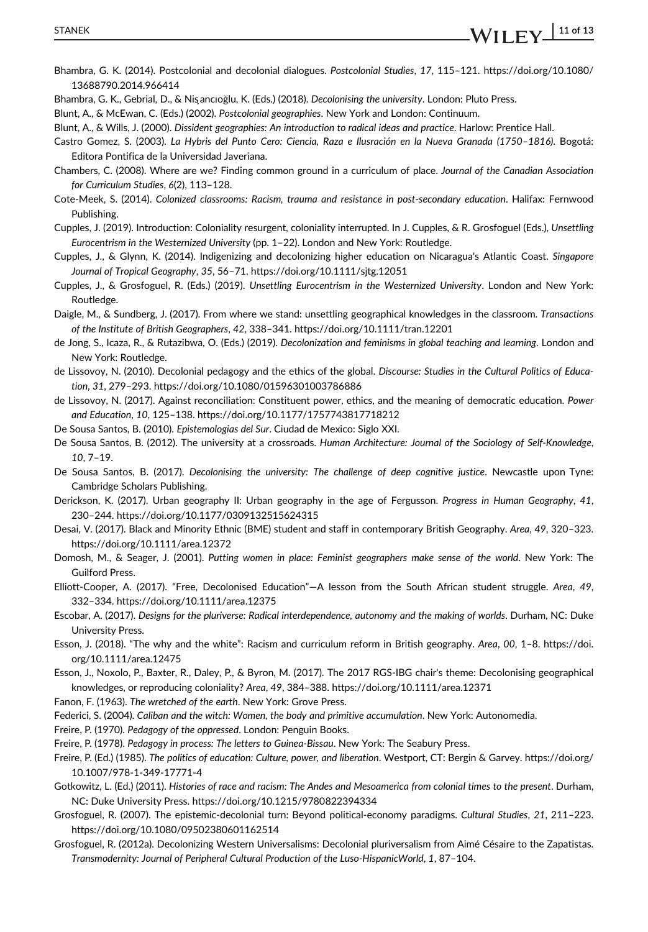- Bhambra, G. K. (2014). Postcolonial and decolonial dialogues. *Postcolonial Studies*, *17*, 115–121. [https://doi.org/10.1080/](https://doi.org/10.1080/13688790.2014.966414) [13688790.2014.966414](https://doi.org/10.1080/13688790.2014.966414)
- Bhambra, G. K., Gebrial, D., & Nis¸ancıoglu, K. (Eds.) (2018). *Decolonising the university*. London: Pluto Press.

Blunt, A., & McEwan, C. (Eds.) (2002). *Postcolonial geographies*. New York and London: Continuum.

- Blunt, A., & Wills, J. (2000). *Dissident geographies: An introduction to radical ideas and practice*. Harlow: Prentice Hall.
- Castro Gomez, S. (2003). *La Hybris del Punto Cero: Ciencia, Raza e Ilusración en la Nueva Granada (1750–1816)*. Bogotá: Editora Pontifica de la Universidad Javeriana.
- Chambers, C. (2008). Where are we? Finding common ground in a curriculum of place. *Journal of the Canadian Association for Curriculum Studies*, *6*(2), 113–128.
- Cote-Meek, S. (2014). *Colonized classrooms: Racism, trauma and resistance in post-secondary education*. Halifax: Fernwood Publishing.
- Cupples, J. (2019). Introduction: Coloniality resurgent, coloniality interrupted. In J. Cupples, & R. Grosfoguel (Eds.), *Unsettling Eurocentrism in the Westernized University* (pp. 1–22). London and New York: Routledge.
- Cupples, J., & Glynn, K. (2014). Indigenizing and decolonizing higher education on Nicaragua's Atlantic Coast. *Singapore Journal of Tropical Geography*, *35*, 56–71.<https://doi.org/10.1111/sjtg.12051>
- Cupples, J., & Grosfoguel, R. (Eds.) (2019). *Unsettling Eurocentrism in the Westernized University*. London and New York: Routledge.
- Daigle, M., & Sundberg, J. (2017). From where we stand: unsettling geographical knowledges in the classroom. *Transactions of the Institute of British Geographers*, *42*, 338–341.<https://doi.org/10.1111/tran.12201>
- de Jong, S., Icaza, R., & Rutazibwa, O. (Eds.) (2019). *Decolonization and feminisms in global teaching and learning*. London and New York: Routledge.
- de Lissovoy, N. (2010). Decolonial pedagogy and the ethics of the global. *Discourse: Studies in the Cultural Politics of Education*, *31*, 279–293.<https://doi.org/10.1080/01596301003786886>
- de Lissovoy, N. (2017). Against reconciliation: Constituent power, ethics, and the meaning of democratic education. *Power and Education*, *10*, 125–138.<https://doi.org/10.1177/1757743817718212>
- De Sousa Santos, B. (2010). *Epistemologias del Sur*. Ciudad de Mexico: Siglo XXI.
- De Sousa Santos, B. (2012). The university at a crossroads. *Human Architecture: Journal of the Sociology of Self-Knowledge*, *10*, 7–19.
- De Sousa Santos, B. (2017). *Decolonising the university: The challenge of deep cognitive justice*. Newcastle upon Tyne: Cambridge Scholars Publishing.
- Derickson, K. (2017). Urban geography II: Urban geography in the age of Fergusson. *Progress in Human Geography*, *41*, 230–244.<https://doi.org/10.1177/0309132515624315>
- Desai, V. (2017). Black and Minority Ethnic (BME) student and staff in contemporary British Geography. *Area*, *49*, 320–323. <https://doi.org/10.1111/area.12372>
- Domosh, M., & Seager, J. (2001). *Putting women in place: Feminist geographers make sense of the world*. New York: The Guilford Press.
- Elliott-Cooper, A. (2017). "Free, Decolonised Education"—A lesson from the South African student struggle. *Area*, *49*, 332–334.<https://doi.org/10.1111/area.12375>
- Escobar, A. (2017). *Designs for the pluriverse: Radical interdependence, autonomy and the making of worlds*. Durham, NC: Duke University Press.
- Esson, J. (2018). "The why and the white": Racism and curriculum reform in British geography. *Area*, *00*, 1–8. [https://doi.](https://doi.org/10.1111/area.12475) [org/10.1111/area.12475](https://doi.org/10.1111/area.12475)
- Esson, J., Noxolo, P., Baxter, R., Daley, P., & Byron, M. (2017). The 2017 RGS-IBG chair's theme: Decolonising geographical knowledges, or reproducing coloniality? *Area*, *49*, 384–388.<https://doi.org/10.1111/area.12371>
- Fanon, F. (1963). *The wretched of the earth*. New York: Grove Press.
- Federici, S. (2004). *Caliban and the witch: Women, the body and primitive accumulation*. New York: Autonomedia.
- Freire, P. (1970). *Pedagogy of the oppressed*. London: Penguin Books.
- Freire, P. (1978). *Pedagogy in process: The letters to Guinea-Bissau*. New York: The Seabury Press.
- Freire, P. (Ed.) (1985). *The politics of education: Culture, power, and liberation*. Westport, CT: Bergin & Garvey. [https://doi.org/](https://doi.org/10.1007/978-1-349-17771-4) [10.1007/978-1-349-17771-4](https://doi.org/10.1007/978-1-349-17771-4)
- Gotkowitz, L. (Ed.) (2011). *Histories of race and racism: The Andes and Mesoamerica from colonial times to the present*. Durham, NC: Duke University Press.<https://doi.org/10.1215/9780822394334>
- Grosfoguel, R. (2007). The epistemic-decolonial turn: Beyond political-economy paradigms. *Cultural Studies*, *21*, 211–223. <https://doi.org/10.1080/09502380601162514>
- Grosfoguel, R. (2012a). Decolonizing Western Universalisms: Decolonial pluriversalism from Aimé Césaire to the Zapatistas. *Transmodernity: Journal of Peripheral Cultural Production of the Luso-HispanicWorld*, *1*, 87–104.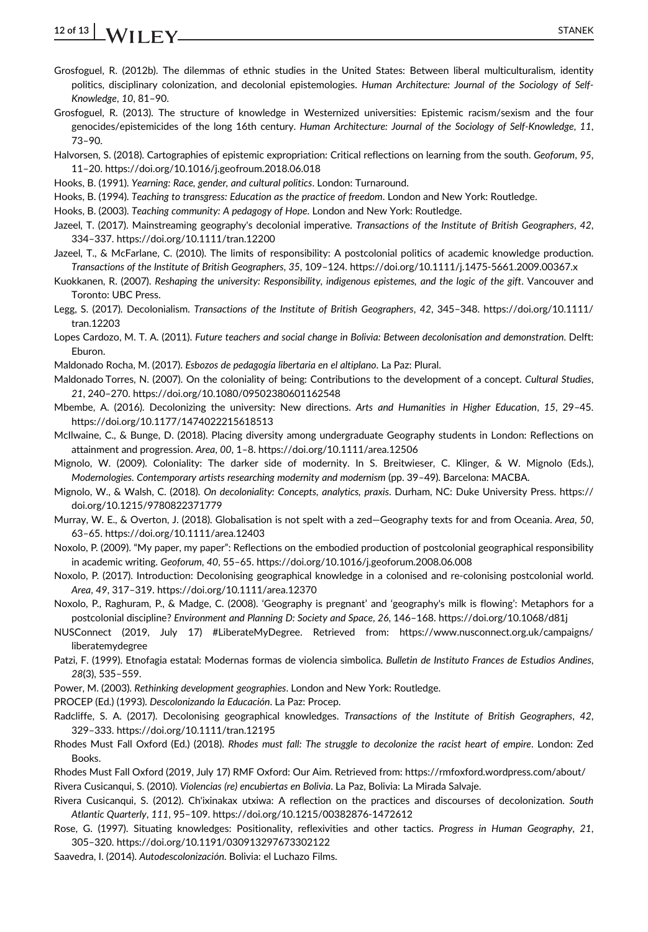- Grosfoguel, R. (2012b). The dilemmas of ethnic studies in the United States: Between liberal multiculturalism, identity politics, disciplinary colonization, and decolonial epistemologies. *Human Architecture: Journal of the Sociology of Self-Knowledge*, *10*, 81–90.
- Grosfoguel, R. (2013). The structure of knowledge in Westernized universities: Epistemic racism/sexism and the four genocides/epistemicides of the long 16th century. *Human Architecture: Journal of the Sociology of Self-Knowledge*, *11*, 73–90.

Halvorsen, S. (2018). Cartographies of epistemic expropriation: Critical reflections on learning from the south. *Geoforum*, *95*, 11–20.<https://doi.org/10.1016/j.geofroum.2018.06.018>

Hooks, B. (1991). *Yearning: Race, gender, and cultural politics*. London: Turnaround.

Hooks, B. (1994). *Teaching to transgress: Education as the practice of freedom*. London and New York: Routledge.

- Hooks, B. (2003). *Teaching community: A pedagogy of Hope*. London and New York: Routledge.
- Jazeel, T. (2017). Mainstreaming geography's decolonial imperative. *Transactions of the Institute of British Geographers*, *42*, 334–337.<https://doi.org/10.1111/tran.12200>
- Jazeel, T., & McFarlane, C. (2010). The limits of responsibility: A postcolonial politics of academic knowledge production. *Transactions of the Institute of British Geographers*, *35*, 109–124.<https://doi.org/10.1111/j.1475-5661.2009.00367.x>
- Kuokkanen, R. (2007). *Reshaping the university: Responsibility, indigenous epistemes, and the logic of the gift*. Vancouver and Toronto: UBC Press.
- Legg, S. (2017). Decolonialism. *Transactions of the Institute of British Geographers*, *42*, 345–348. [https://doi.org/10.1111/](https://doi.org/10.1111/tran.12203) [tran.12203](https://doi.org/10.1111/tran.12203)
- Lopes Cardozo, M. T. A. (2011). *Future teachers and social change in Bolivia: Between decolonisation and demonstration*. Delft: Eburon.
- Maldonado Rocha, M. (2017). *Esbozos de pedagogía libertaria en el altiplano*. La Paz: Plural.
- Maldonado Torres, N. (2007). On the coloniality of being: Contributions to the development of a concept. *Cultural Studies*, *21*, 240–270.<https://doi.org/10.1080/09502380601162548>
- Mbembe, A. (2016). Decolonizing the university: New directions. *Arts and Humanities in Higher Education*, *15*, 29–45. <https://doi.org/10.1177/1474022215618513>
- McIlwaine, C., & Bunge, D. (2018). Placing diversity among undergraduate Geography students in London: Reflections on attainment and progression. *Area*, *00*, 1–8.<https://doi.org/10.1111/area.12506>
- Mignolo, W. (2009). Coloniality: The darker side of modernity. In S. Breitwieser, C. Klinger, & W. Mignolo (Eds.), *Modernologies. Contemporary artists researching modernity and modernism* (pp. 39–49). Barcelona: MACBA.
- Mignolo, W., & Walsh, C. (2018). *On decoloniality: Concepts, analytics, praxis*. Durham, NC: Duke University Press. [https://](https://doi.org/10.1215/9780822371779) [doi.org/10.1215/9780822371779](https://doi.org/10.1215/9780822371779)
- Murray, W. E., & Overton, J. (2018). Globalisation is not spelt with a zed—Geography texts for and from Oceania. *Area*, *50*, 63–65.<https://doi.org/10.1111/area.12403>
- Noxolo, P. (2009). "My paper, my paper": Reflections on the embodied production of postcolonial geographical responsibility in academic writing. *Geoforum*, *40*, 55–65.<https://doi.org/10.1016/j.geoforum.2008.06.008>
- Noxolo, P. (2017). Introduction: Decolonising geographical knowledge in a colonised and re-colonising postcolonial world. *Area*, *49*, 317–319.<https://doi.org/10.1111/area.12370>
- Noxolo, P., Raghuram, P., & Madge, C. (2008). 'Geography is pregnant' and 'geography's milk is flowing': Metaphors for a postcolonial discipline? *Environment and Planning D: Society and Space*, *26*, 146–168.<https://doi.org/10.1068/d81j>
- NUSConnect (2019, July 17) #LiberateMyDegree. Retrieved from: [https://www.nusconnect.org.uk/campaigns/](https://www.nusconnect.org.uk/campaigns/liberatemydegree) [liberatemydegree](https://www.nusconnect.org.uk/campaigns/liberatemydegree)
- Patzi, F. (1999). Etnofagia estatal: Modernas formas de violencia simbolica. *Bulletin de Instituto Frances de Estudios Andines*, *28*(3), 535–559.
- Power, M. (2003). *Rethinking development geographies*. London and New York: Routledge.
- PROCEP (Ed.) (1993). *Descolonizando la Educación*. La Paz: Procep.
- Radcliffe, S. A. (2017). Decolonising geographical knowledges. *Transactions of the Institute of British Geographers*, *42*, 329–333.<https://doi.org/10.1111/tran.12195>
- Rhodes Must Fall Oxford (Ed.) (2018). *Rhodes must fall: The struggle to decolonize the racist heart of empire*. London: Zed **Books**
- Rhodes Must Fall Oxford (2019, July 17) RMF Oxford: Our Aim. Retrieved from:<https://rmfoxford.wordpress.com/about/> Rivera Cusicanqui, S. (2010). *Violencias (re) encubiertas en Bolivia*. La Paz, Bolivia: La Mirada Salvaje.
- Rivera Cusicanqui, S. (2012). Ch'ixinakax utxiwa: A reflection on the practices and discourses of decolonization. *South Atlantic Quarterly*, *111*, 95–109.<https://doi.org/10.1215/00382876-1472612>
- Rose, G. (1997). Situating knowledges: Positionality, reflexivities and other tactics. *Progress in Human Geography*, *21*, 305–320.<https://doi.org/10.1191/030913297673302122>
- Saavedra, I. (2014). *Autodescolonización*. Bolivia: el Luchazo Films.